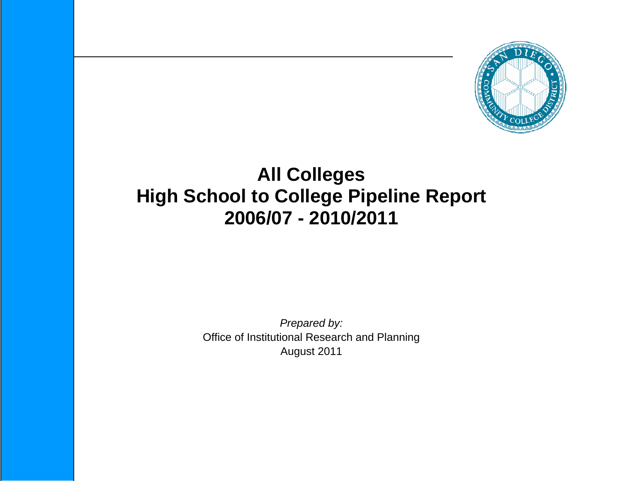

# **All Colleges High School to College Pipeline Report 2006/07 - 2010/2011**

*Prepared by:*  Office of Institutional Research and Planning August 2011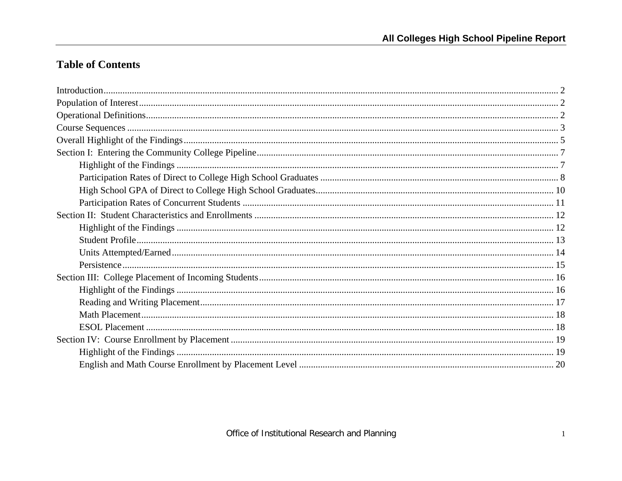## **Table of Contents**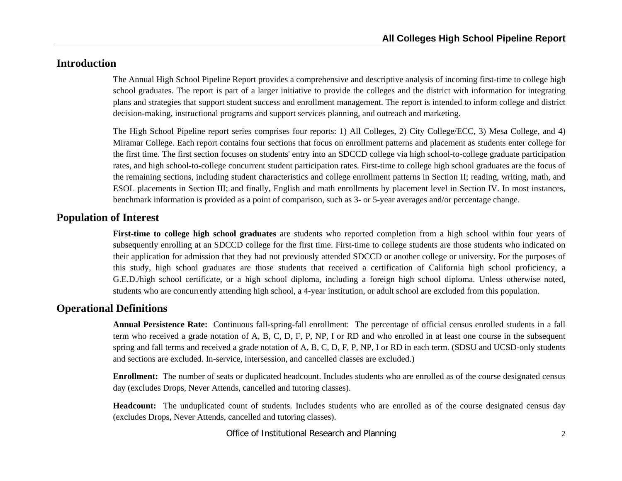## **Introduction**

The Annual High School Pipeline Report provides a comprehensive and descriptive analysis of incoming first-time to college high school graduates. The report is part of a larger initiative to provide the colleges and the district with information for integrating plans and strategies that support student success and enrollment management. The report is intended to inform college and district decision-making, instructional programs and support services planning, and outreach and marketing.

The High School Pipeline report series comprises four reports: 1) All Colleges, 2) City College/ECC, 3) Mesa College, and 4) Miramar College. Each report contains four sections that focus on enrollment patterns and placement as students enter college for the first time. The first section focuses on students' entry into an SDCCD college via high school-to-college graduate participation rates, and high school-to-college concurrent student participation rates. First-time to college high school graduates are the focus of the remaining sections, including student characteristics and college enrollment patterns in Section II; reading, writing, math, and ESOL placements in Section III; and finally, English and math enrollments by placement level in Section IV. In most instances, benchmark information is provided as a point of comparison, such as 3- or 5-year averages and/or percentage change.

#### **Population of Interest**

**First-time to college high school graduates** are students who reported completion from a high school within four years of subsequently enrolling at an SDCCD college for the first time. First-time to college students are those students who indicated on their application for admission that they had not previously attended SDCCD or another college or university. For the purposes of this study, high school graduates are those students that received a certification of California high school proficiency, a G.E.D./high school certificate, or a high school diploma, including a foreign high school diploma. Unless otherwise noted, students who are concurrently attending high school, a 4-year institution, or adult school are excluded from this population.

#### **Operational Definitions**

**Annual Persistence Rate:** Continuous fall-spring-fall enrollment: The percentage of official census enrolled students in a fall term who received a grade notation of A, B, C, D, F, P, NP, I or RD and who enrolled in at least one course in the subsequent spring and fall terms and received a grade notation of A, B, C, D, F, P, NP, I or RD in each term. (SDSU and UCSD-only students and sections are excluded. In-service, intersession, and cancelled classes are excluded.)

**Enrollment:** The number of seats or duplicated headcount. Includes students who are enrolled as of the course designated census day (excludes Drops, Never Attends, cancelled and tutoring classes).

**Headcount:** The unduplicated count of students. Includes students who are enrolled as of the course designated census day (excludes Drops, Never Attends, cancelled and tutoring classes).

Office of Institutional Research and Planning 2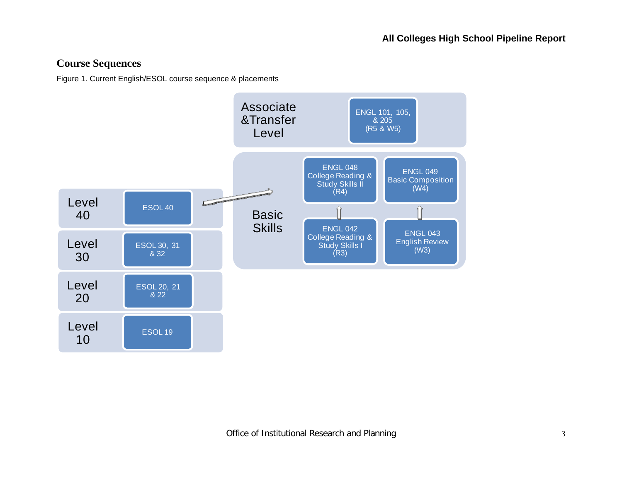## **Course Sequences**

Figure 1. Current English/ESOL course sequence & placements

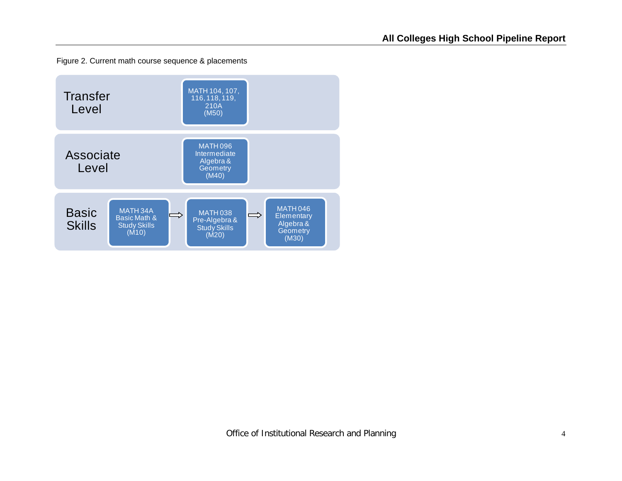Figure 2. Current math course sequence & placements

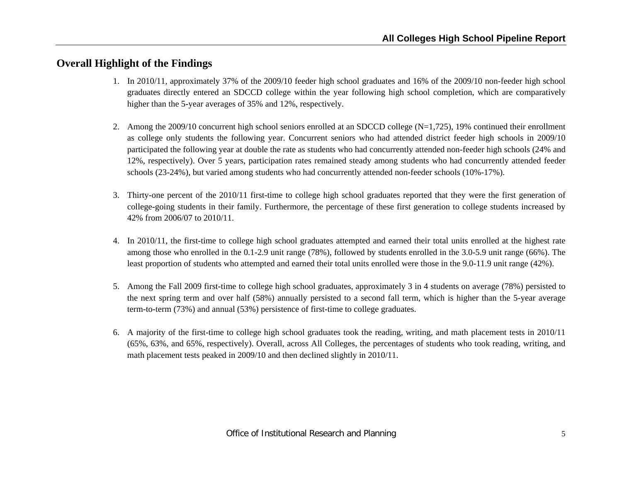## **Overall Highlight of the Findings**

- 1. In 2010/11, approximately 37% of the 2009/10 feeder high school graduates and 16% of the 2009/10 non-feeder high school graduates directly entered an SDCCD college within the year following high school completion, which are comparatively higher than the 5-year averages of 35% and 12%, respectively.
- 2. Among the 2009/10 concurrent high school seniors enrolled at an SDCCD college (N=1,725), 19% continued their enrollment as college only students the following year. Concurrent seniors who had attended district feeder high schools in 2009/10 participated the following year at double the rate as students who had concurrently attended non-feeder high schools (24% and 12%, respectively). Over 5 years, participation rates remained steady among students who had concurrently attended feeder schools (23-24%), but varied among students who had concurrently attended non-feeder schools (10%-17%).
- 3. Thirty-one percent of the 2010/11 first-time to college high school graduates reported that they were the first generation of college-going students in their family. Furthermore, the percentage of these first generation to college students increased by 42% from 2006/07 to 2010/11.
- 4. In 2010/11, the first-time to college high school graduates attempted and earned their total units enrolled at the highest rate among those who enrolled in the 0.1-2.9 unit range (78%), followed by students enrolled in the 3.0-5.9 unit range (66%). The least proportion of students who attempted and earned their total units enrolled were those in the 9.0-11.9 unit range (42%).
- 5. Among the Fall 2009 first-time to college high school graduates, approximately 3 in 4 students on average (78%) persisted to the next spring term and over half (58%) annually persisted to a second fall term, which is higher than the 5-year average term-to-term (73%) and annual (53%) persistence of first-time to college graduates.
- 6. A majority of the first-time to college high school graduates took the reading, writing, and math placement tests in 2010/11 (65%, 63%, and 65%, respectively). Overall, across All Colleges, the percentages of students who took reading, writing, and math placement tests peaked in 2009/10 and then declined slightly in 2010/11.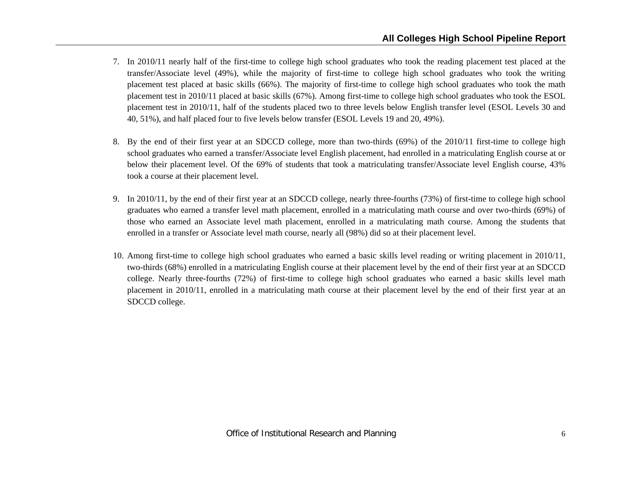- 7. In 2010/11 nearly half of the first-time to college high school graduates who took the reading placement test placed at the transfer/Associate level (49%), while the majority of first-time to college high school graduates who took the writing placement test placed at basic skills (66%). The majority of first-time to college high school graduates who took the math placement test in 2010/11 placed at basic skills (67%). Among first-time to college high school graduates who took the ESOL placement test in 2010/11, half of the students placed two to three levels below English transfer level (ESOL Levels 30 and 40, 51%), and half placed four to five levels below transfer (ESOL Levels 19 and 20, 49%).
- 8. By the end of their first year at an SDCCD college, more than two-thirds (69%) of the 2010/11 first-time to college high school graduates who earned a transfer/Associate level English placement, had enrolled in a matriculating English course at or below their placement level. Of the 69% of students that took a matriculating transfer/Associate level English course, 43% took a course at their placement level.
- 9. In 2010/11, by the end of their first year at an SDCCD college, nearly three-fourths (73%) of first-time to college high school graduates who earned a transfer level math placement, enrolled in a matriculating math course and over two-thirds (69%) of those who earned an Associate level math placement, enrolled in a matriculating math course. Among the students that enrolled in a transfer or Associate level math course, nearly all (98%) did so at their placement level.
- 10. Among first-time to college high school graduates who earned a basic skills level reading or writing placement in 2010/11, two-thirds (68%) enrolled in a matriculating English course at their placement level by the end of their first year at an SDCCD college. Nearly three-fourths (72%) of first-time to college high school graduates who earned a basic skills level math placement in 2010/11, enrolled in a matriculating math course at their placement level by the end of their first year at an SDCCD college.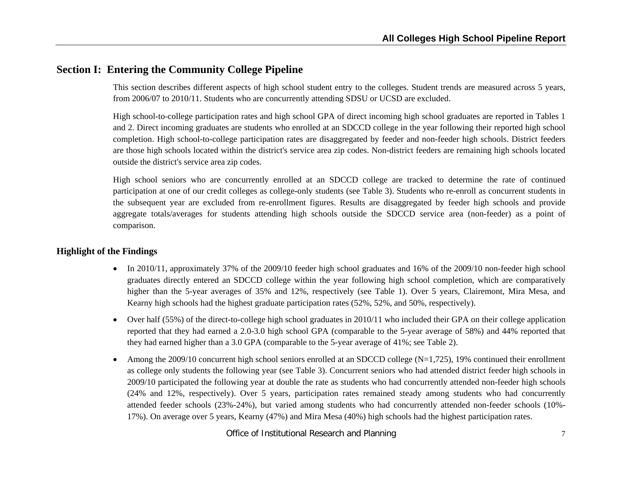## **Section I: Entering the Community College Pipeline**

This section describes different aspects of high school student entry to the colleges. Student trends are measured across 5 years, from 2006/07 to 2010/11. Students who are concurrently attending SDSU or UCSD are excluded.

High school-to-college participation rates and high school GPA of direct incoming high school graduates are reported in Tables 1 and 2. Direct incoming graduates are students who enrolled at an SDCCD college in the year following their reported high school completion. High school-to-college participation rates are disaggregated by feeder and non-feeder high schools. District feeders are those high schools located within the district's service area zip codes. Non-district feeders are remaining high schools located outside the district's service area zip codes.

High school seniors who are concurrently enrolled at an SDCCD college are tracked to determine the rate of continued participation at one of our credit colleges as college-only students (see Table 3). Students who re-enroll as concurrent students in the subsequent year are excluded from re-enrollment figures. Results are disaggregated by feeder high schools and provide aggregate totals/averages for students attending high schools outside the SDCCD service area (non-feeder) as a point of comparison.

#### **Highlight of the Findings**

- In 2010/11, approximately 37% of the 2009/10 feeder high school graduates and 16% of the 2009/10 non-feeder high school graduates directly entered an SDCCD college within the year following high school completion, which are comparatively higher than the 5-year averages of 35% and 12%, respectively (see Table 1). Over 5 years, Clairemont, Mira Mesa, and Kearny high schools had the highest graduate participation rates (52%, 52%, and 50%, respectively).
- Over half (55%) of the direct-to-college high school graduates in 2010/11 who included their GPA on their college application reported that they had earned a 2.0-3.0 high school GPA (comparable to the 5-year average of 58%) and 44% reported that they had earned higher than a 3.0 GPA (comparable to the 5-year average of 41%; see Table 2).
- 6 Among the 2009/10 concurrent high school seniors enrolled at an SDCCD college  $(N=1,725)$ , 19% continued their enrollment as college only students the following year (see Table 3). Concurrent seniors who had attended district feeder high schools in 2009/10 participated the following year at double the rate as students who had concurrently attended non-feeder high schools (24% and 12%, respectively). Over 5 years, participation rates remained steady among students who had concurrently attended feeder schools (23%-24%), but varied among students who had concurrently attended non-feeder schools (10%- 17%). On average over 5 years, Kearny (47%) and Mira Mesa (40%) high schools had the highest participation rates.

Office of Institutional Research and Planning <sup>7</sup>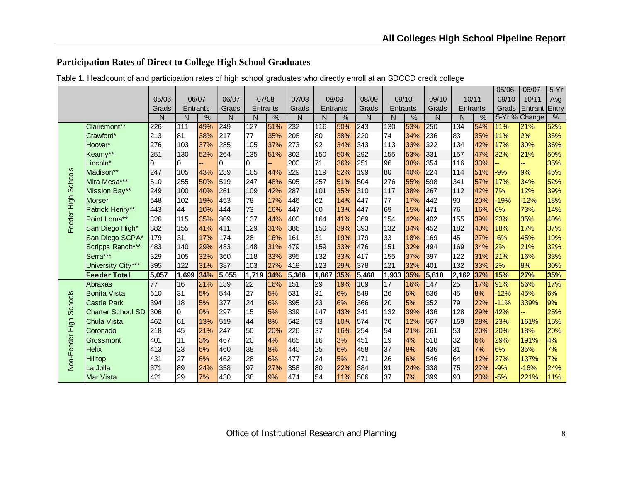## **Participation Rates of Direct to College High School Graduates**

|                     |                          |                 |          |      |       |                 |      |              |       |          |       |                 |     |       |                 |     | 05/06- | 06/07-        | $5-Yr$ |
|---------------------|--------------------------|-----------------|----------|------|-------|-----------------|------|--------------|-------|----------|-------|-----------------|-----|-------|-----------------|-----|--------|---------------|--------|
|                     |                          | 05/06           | 06/07    |      | 06/07 | 07/08           |      | 07/08        |       | 08/09    | 08/09 | 09/10           |     | 09/10 | 10/11           |     | 09/10  | 10/11         | Avg    |
|                     |                          | Grads           | Entrants |      | Grads | Entrants        |      | Grads        |       | Entrants | Grads | <b>Entrants</b> |     | Grads | <b>Entrants</b> |     | Grads  | Entrant Entry |        |
|                     |                          | N               | N        | $\%$ | N     | N               | $\%$ | $\mathsf{N}$ | N     | $\%$     | N     | N               | %   | N     | N               | %   |        | 5-Yr % Change | %      |
|                     | Clairemont**             | 226             | 111      | 49%  | 249   | 127             | 51%  | 232          | 116   | 50%      | 243   | 130             | 53% | 250   | 134             | 54% | 11%    | 21%           | 52%    |
|                     | Crawford*                | 213             | 81       | 38%  | 217   | 77              | 35%  | 208          | 80    | 38%      | 220   | 74              | 34% | 236   | 83              | 35% | 11%    | 2%            | 36%    |
|                     | Hoover*                  | 276             | 103      | 37%  | 285   | 105             | 37%  | 273          | 92    | 34%      | 343   | 113             | 33% | 322   | 134             | 42% | 17%    | 30%           | 36%    |
|                     | Kearny**                 | 251             | 130      | 52%  | 264   | 135             | 51%  | 302          | 150   | 50%      | 292   | 155             | 53% | 331   | 157             | 47% | 32%    | 21%           | 50%    |
|                     | Lincoln*                 | 10              | 0        |      | 0     | 0               |      | 200          | 71    | 36%      | 251   | 96              | 38% | 354   | 116             | 33% |        |               | 35%    |
|                     | Madison**                | 247             | 105      | 43%  | 239   | 105             | 44%  | 229          | 119   | 52%      | 199   | 80              | 40% | 224   | 114             | 51% | $-9%$  | 9%            | 46%    |
| Feeder High Schools | Mira Mesa***             | 510             | 255      | 50%  | 519   | 247             | 48%  | 505          | 257   | 51%      | 504   | 276             | 55% | 598   | 341             | 57% | 17%    | 34%           | 52%    |
|                     | Mission Bay**            | 249             | 100      | 40%  | 261   | 109             | 42%  | 287          | 101   | 35%      | 310   | 117             | 38% | 267   | 112             | 42% | 7%     | 12%           | 39%    |
|                     | Morse*                   | 548             | 102      | 19%  | 453   | 78              | 17%  | 446          | 62    | 14%      | 447   | 77              | 17% | 442   | 90              | 20% | $-19%$ | $-12%$        | 18%    |
|                     | Patrick Henry**          | 443             | 44       | 10%  | 444   | 73              | 16%  | 447          | 60    | 13%      | 447   | 69              | 15% | 471   | 76              | 16% | 6%     | 73%           | 14%    |
|                     | Point Loma**             | 326             | 115      | 35%  | 309   | 137             | 44%  | 400          | 164   | 41%      | 369   | 154             | 42% | 402   | 155             | 39% | 23%    | 35%           | 40%    |
|                     | San Diego High*          | 382             | 155      | 41%  | 411   | 129             | 31%  | 386          | 150   | 39%      | 393   | 132             | 34% | 452   | 182             | 40% | 18%    | 17%           | 37%    |
|                     | San Diego SCPA*          | 179             | 31       | 17%  | 174   | 28              | 16%  | 161          | 31    | 19%      | 179   | 33              | 18% | 169   | 45              | 27% | $-6%$  | 45%           | 19%    |
|                     | Scripps Ranch***         | 483             | 140      | 29%  | 483   | 148             | 31%  | 479          | 159   | 33%      | 476   | 151             | 32% | 494   | 169             | 34% | 2%     | 21%           | 32%    |
|                     | Serra***                 | 329             | 105      | 32%  | 360   | 118             | 33%  | 395          | 132   | 33%      | 417   | 155             | 37% | 397   | 122             | 31% | 21%    | 16%           | 33%    |
|                     | University City***       | 395             | 122      | 31%  | 387   | 103             | 27%  | 418          | 123   | 29%      | 378   | 121             | 32% | 401   | 132             | 33% | 2%     | 8%            | 30%    |
|                     | <b>Feeder Total</b>      | 5,057           | 1,699    | 34%  | 5,055 | 1,719           | 34%  | 5,368        | 1,867 | 35%      | 5,468 | 1,933           | 35% | 5,810 | 2,162           | 37% | 15%    | 27%           | 35%    |
|                     | Abraxas                  | $\overline{77}$ | 16       | 21%  | 139   | $\overline{22}$ | 16%  | 151          | 29    | 19%      | 109   | 17              | 16% | 147   | $\overline{25}$ | 17% | 91%    | 56%           | 17%    |
|                     | <b>Bonita Vista</b>      | 610             | 31       | 5%   | 544   | 27              | 5%   | 531          | 31    | 6%       | 549   | 26              | 5%  | 536   | 45              | 8%  | $-12%$ | 45%           | 6%     |
| Schools             | <b>Castle Park</b>       | 394             | 18       | 5%   | 377   | 24              | 6%   | 395          | 23    | 6%       | 366   | 20              | 5%  | 352   | 79              | 22% | $-11%$ | 339%          | 9%     |
|                     | <b>Charter School SD</b> | 306             | 0        | 0%   | 297   | 15              | 5%   | 339          | 147   | 43%      | 341   | 132             | 39% | 436   | 128             | 29% | 42%    |               | 25%    |
|                     | <b>Chula Vista</b>       | 462             | 61       | 13%  | 519   | 44              | 8%   | 542          | 53    | 10%      | 574   | 70              | 12% | 567   | 159             | 28% | 23%    | 161%          | 15%    |
|                     | Coronado                 | 218             | 45       | 21%  | 247   | 50              | 20%  | 226          | 37    | 16%      | 254   | 54              | 21% | 261   | 53              | 20% | 20%    | 18%           | 20%    |
|                     | Grossmont                | 401             | 11       | 3%   | 467   | 20              | 4%   | 465          | 16    | 3%       | 451   | 19              | 4%  | 518   | 32              | 6%  | 29%    | 191%          | 4%     |
|                     | <b>Helix</b>             | 413             | 23       | 6%   | 460   | 38              | 8%   | 440          | 25    | 6%       | 458   | 37              | 8%  | 436   | 31              | 7%  | 6%     | 35%           | 7%     |
| Non-Feeder High     | <b>Hilltop</b>           | 431             | 27       | 6%   | 462   | 28              | 6%   | 477          | 24    | 5%       | 471   | 26              | 6%  | 546   | 64              | 12% | 27%    | 137%          | 7%     |
|                     | La Jolla                 | 371             | 89       | 24%  | 358   | 97              | 27%  | 358          | 80    | 22%      | 384   | 91              | 24% | 338   | 75              | 22% | $-9%$  | $-16%$        | 24%    |
|                     | <b>IMar Vista</b>        | 421             | 29       | 7%   | 430   | 38              | 9%   | 474          | 54    | 11%      | 506   | 37              | 7%  | 399   | 93              | 23% | $-5%$  | 221%          | 11%    |

Table 1. Headcount of and participation rates of high school graduates who directly enroll at an SDCCD credit college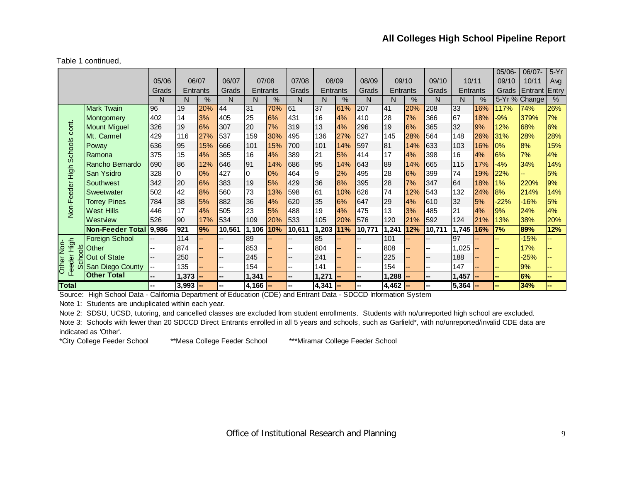Table 1 continued,

|                             |                         |       |          |       |                |           |       |                          |          |       |        |           |       |              |          |     | $05/06 -$ | 06/07-                  | $5-Yr$        |
|-----------------------------|-------------------------|-------|----------|-------|----------------|-----------|-------|--------------------------|----------|-------|--------|-----------|-------|--------------|----------|-----|-----------|-------------------------|---------------|
|                             |                         | 05/06 |          | 06/07 | 06/07          |           | 07/08 | 07/08                    |          | 08/09 | 08/09  |           | 09/10 | 09/10        | 10/11    |     | 09/10     | 10/11                   | Avg           |
|                             |                         | Grads | Entrants |       | Grads          | Entrants  |       | Grads                    | Entrants |       | Grads  | Entrants  |       | <b>Grads</b> | Entrants |     |           | Grads   Entrant   Entry |               |
|                             |                         | N     | N        | %     | N              | N         | $\%$  | N                        | N        | %     | N      | N         | $\%$  | N            | N        | %   |           | 5-Yr % Change           | $\frac{9}{6}$ |
|                             | <b>Mark Twain</b>       | 96    | 19       | 20%   | 44             | 31        | 70%   | 61                       | 37       | 61%   | 207    | 41        | 20%   | 208          | 33       | 16% | 117%      | 74%                     | 26%           |
|                             | Montgomery              | 402   | 14       | 3%    | 405            | 25        | 6%    | 431                      | 16       | 4%    | 410    | 28        | 7%    | 366          | 167      | 18% | $-9%$     | 379%                    | 7%            |
| cont.                       | <b>Mount Miguel</b>     | 326   | 19       | 6%    | 307            | 20        | 7%    | 319                      | 13       | 4%    | 296    | 19        | 6%    | 365          | 32       | 9%  | 12%       | 68%                     | 6%            |
|                             | Mt. Carmel              | 429   | 116      | 27%   | 537            | 159       | 30%   | 495                      | 136      | 27%   | 527    | 145       | 28%   | 564          | 148      | 26% | 31%       | 28%                     | 28%           |
|                             | Poway                   | 636   | 95       | 15%   | 666            | 101       | 15%   | 700                      | 101      | 14%   | 597    | 81        | 14%   | 633          | 103      | 16% | 0%        | 8%                      | 15%           |
|                             | Ramona                  | 375   | 15       | 4%    | 365            | 16        | 4%    | 389                      | 21       | 5%    | 414    | 17        | 4%    | 398          | 16       | 4%  | 6%        | 7%                      | 4%            |
|                             | Rancho Bernardo         | 690   | 86       | 12%   | 646            | 91        | 14%   | 686                      | 95       | 14%   | 643    | 89        | 14%   | 665          | 115      | 17% | $-4%$     | 34%                     | 14%           |
|                             | San Ysidro              | 328   | 0        | 0%    | 427            | 0         | 0%    | 464                      | 9        | 2%    | 495    | 28        | 6%    | 399          | 74       | 19% | 22%       |                         | 5%            |
| Non-Feeder High Schools     | Southwest               | 342   | 20       | 6%    | 383            | 19        | 5%    | 429                      | 36       | 8%    | 395    | 28        | 7%    | 347          | 64       | 18% | 1%        | 220%                    | 9%            |
|                             | Sweetwater              | 502   | 42       | 8%    | 560            | 73        | 13%   | 598                      | 61       | 10%   | 626    | 74        | 12%   | 543          | 132      | 24% | 8%        | 214%                    | 14%           |
|                             | <b>Torrey Pines</b>     | 784   | 38       | 5%    | 882            | 36        | 4%    | 620                      | 35       | 6%    | 647    | 29        | 4%    | 610          | 32       | 5%  | $-22%$    | $-16%$                  | 5%            |
|                             | <b>West Hills</b>       | 446   | 17       | 4%    | 505            | 23        | 5%    | 488                      | 19       | 4%    | 475    | 13        | 3%    | 485          | 21       | 4%  | 9%        | 24%                     | 4%            |
|                             | Westview                | 526   | 90       | 17%   | 534            | 109       | 20%   | 533                      | 105      | 20%   | 576    | 120       | 21%   | 592          | 124      | 21% | 13%       | 38%                     | 20%           |
|                             | <b>Non-Feeder Total</b> | 9,986 | 921      | 9%    | 10,561         | 1,106     | 10%   | 10,611                   | 1,203    | 11%   | 10,771 | 1,241     | 12%   | 10,711       | 1,745    | 16% | 7%        | 89%                     | 12%           |
|                             | <b>Foreign School</b>   |       | 114      |       | ۵.             | 89        |       |                          | 85       |       |        | 101       |       |              | 97       |     |           | $-15%$                  |               |
| High<br>Non-<br>$rac{8}{5}$ | Other                   |       | 874      |       | --             | 853       |       |                          | 804      |       |        | 808       |       |              | 1,025    |     |           | 17%                     |               |
|                             | Out of State            |       | 250      |       | --             | 245       |       | --                       | 241      |       | --     | 225       |       |              | 188      |     |           | $-25%$                  |               |
| eeder<br>Other<br>ഗ         | San Diego County        | --    | 135      |       | $\overline{a}$ | 154       |       | $\overline{\phantom{a}}$ | 141      |       | --     | 154       |       |              | 147      |     |           | 9%                      | --            |
| ш                           | <b>Other Total</b>      |       | 1,373    |       | --             | 1,341     |       | --                       | 1,271    |       |        | 1,288     |       |              | 1,457    |     |           | 6%                      | ш.            |
| <b>Total</b>                |                         |       | 3,993    |       | --             | $4,166$ - |       | --                       | 4,341    |       |        | $4,462$ - |       |              | 5,364    |     |           | 34%                     |               |

Source: High School Data - California Department of Education (CDE) and Entrant Data - SDCCD Information System

Note 1: Students are unduplicated within each year.

Note 2: SDSU, UCSD, tutoring, and cancelled classes are excluded from student enrollments. Students with no/unreported high school are excluded.

Note 3: Schools with fewer than 20 SDCCD Direct Entrants enrolled in all 5 years and schools, such as Garfield\*, with no/unreported/invalid CDE data are indicated as 'Other'.

\*City College Feeder School \*\*Mesa College Feeder School \*\*\*Miramar College Feeder School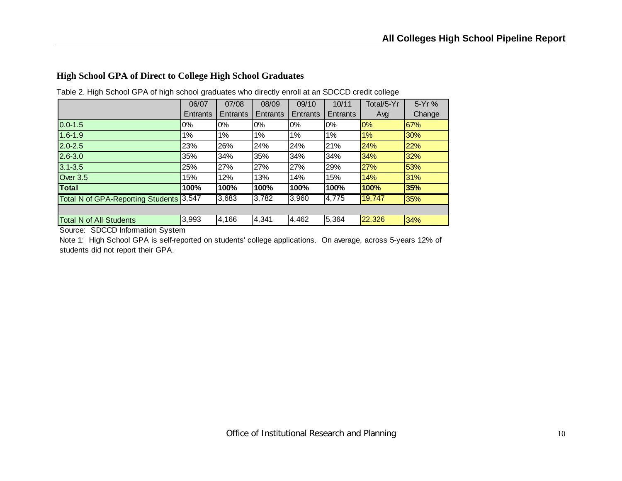#### **High School GPA of Direct to College High School Graduates**

|                                         | 06/07           | 07/08    | 08/09    | 09/10    | 10/11    | Total/5-Yr | 5-Yr%  |
|-----------------------------------------|-----------------|----------|----------|----------|----------|------------|--------|
|                                         | <b>Entrants</b> | Entrants | Entrants | Entrants | Entrants | Avg        | Change |
| $0.0 - 1.5$                             | $0\%$           | 0%       | $0\%$    | 0%       | 0%       | 0%         | 67%    |
| $1.6 - 1.9$                             | $1\%$           | 1%       | 1%       | 1%       | 1%       | 1%         | 30%    |
| $2.0 - 2.5$                             | 23%             | 26%      | 24%      | 24%      | 21%      | 24%        | 22%    |
| $2.6 - 3.0$                             | 35%             | 34%      | 35%      | 34%      | 34%      | 34%        | 32%    |
| $3.1 - 3.5$                             | 25%             | 27%      | 27%      | 27%      | 29%      | 27%        | 53%    |
| Over 3.5                                | 15%             | 12%      | 13%      | 14%      | 15%      | 14%        | 31%    |
| <b>Total</b>                            | 100%            | 100%     | 100%     | 100%     | 100%     | 100%       | 35%    |
| Total N of GPA-Reporting Students 3,547 |                 | 3,683    | 3,782    | 3,960    | 4,775    | 19,747     | 35%    |
|                                         |                 |          |          |          |          |            |        |
| <b>Total N of All Students</b>          | 3,993           | 4,166    | 4,341    | 4,462    | 5,364    | 22,326     | 34%    |

Table 2. High School GPA of high school graduates who directly enroll at an SDCCD credit college

Source: SDCCD Information System

Note 1: High School GPA is self-reported on students' college applications. On average, across 5-years 12% of students did not report their GPA.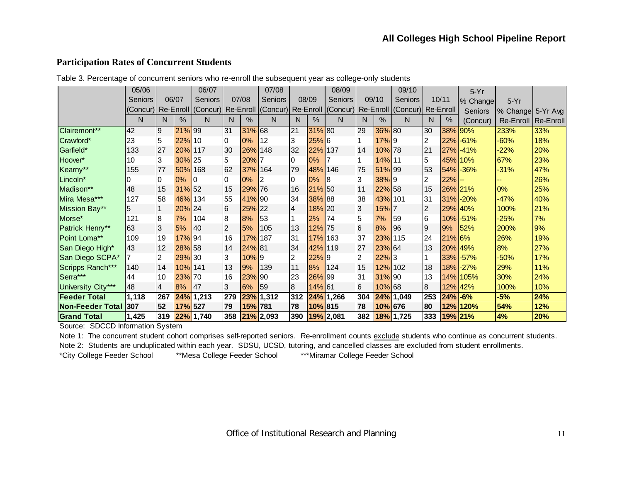### **Participation Rates of Concurrent Students**

|                      | 05/06          |     |            | 06/07        |                |           | 07/08         |     |         | 08/09                                                                                               |                |            | 09/10          |                         |                | $5-Yr$         |                     |     |
|----------------------|----------------|-----|------------|--------------|----------------|-----------|---------------|-----|---------|-----------------------------------------------------------------------------------------------------|----------------|------------|----------------|-------------------------|----------------|----------------|---------------------|-----|
|                      | <b>Seniors</b> |     | 06/07      | Seniors      |                | 07/08     | Seniors       |     | 08/09   | <b>Seniors</b>                                                                                      |                | 09/10      | <b>Seniors</b> |                         | 10/11          | % Change       | $5-Yr$              |     |
|                      |                |     |            |              |                |           |               |     |         | (Concur) Re-Enroll ((Concur) Re-Enroll ((Concur) Re-Enroll ((Concur) Re-Enroll ((Concur) Re-Enroll) |                |            |                |                         |                | <b>Seniors</b> | % Change 5-Yr Avg   |     |
|                      | N              | N   | $\%$       | N.           | N              | %         | N             | N   | %       | N                                                                                                   | N              | $\%$       | N              | N.                      | $\%$           | (Concur)       | Re-Enroll Re-Enroll |     |
| Clairemont**         | 42             | 9   | 21% 99     |              | 31             | 31% 68    |               | 21  | 31% 80  |                                                                                                     | 29             | 36% 80     |                | 30                      |                | 38% 90%        | 233%                | 33% |
| Crawford*            | 23             | 5   | 22% 10     |              | IО             | $0\%$     | l 12          | 3   | $25%$ 6 |                                                                                                     |                | 17%9       |                | 2                       |                | $22\%$ -61%    | $-60%$              | 18% |
| Garfield*            | 133            | 27  | 20% 117    |              | 30             | 26% 148   |               | 32  | 22% 137 |                                                                                                     | 14             | 10% 78     |                | 21                      | 27%            | $-41%$         | $-22%$              | 20% |
| Hoover*              | 10             | 3   | 30% 25     |              | 15             | 20% 7     |               | 0   | 0%      |                                                                                                     | 1              | $14\%$  11 |                | 5                       |                | 45% 10%        | 67%                 | 23% |
| Kearny**             | 155            | 77  | 50% 168    |              | 62             | 37% 164   |               | 79  | 48% 146 |                                                                                                     | 75             | 51% 99     |                | 53                      |                | 54% - 36%      | $-31%$              | 47% |
| Lincoln*             |                | 0   | 0%         | I0           |                | 0%        | 2             | I0  | 0%      | 18                                                                                                  | 3              | 38%9       |                | 2                       | $22%$ --       |                |                     | 26% |
| Madison**            | 48             | 15  | $31\%$ 52  |              | 15             | 29% 76    |               | 16  | 21% 50  |                                                                                                     | 11             | 22% 58     |                | 15                      |                | 26% 21%        | 0%                  | 25% |
| Mira Mesa***         | 127            | 58  | 46% 134    |              | 55             | 41% 90    |               | 34  | 38% 88  |                                                                                                     | 38             | 43% 101    |                | 31                      |                | $31\%$ -20%    | $-47%$              | 40% |
| Mission Bay**        | 5              |     | 20% 24     |              | 16             | 25% 22    |               | 14  | 18% 20  |                                                                                                     | 3              | 15% 7      |                | $\overline{\mathbf{c}}$ |                | 29% 40%        | 100%                | 21% |
| Morse*               | 121            | 8   | 7%         | 104          | 8              | 8%        | 153           |     | 2%      | 174                                                                                                 | 5              | 7%         | 59             | $6\phantom{a}$          | 10%            | $-51%$         | $-25%$              | 7%  |
| Patrick Henry**      | 63             | 3   | 5%         | <b>40</b>    | $\overline{2}$ | 5%        | 105           | 13  | 12% 75  |                                                                                                     | 6              | 8%         | 96             | $\overline{9}$          | 9%             | 52%            | 200%                | 9%  |
| Point Loma**         | 109            | 19  | $17\%$  94 |              | 16             | 17% 187   |               | 31  | 17% 163 |                                                                                                     | 37             | 23% 115    |                | 24                      | 21% 6%         |                | 26%                 | 19% |
| San Diego High*      | 43             | 12  | 28% 58     |              | 14             | 24% 81    |               | 34  | 42% 119 |                                                                                                     | 27             | 23% 64     |                | 13                      |                | 20% 49%        | 8%                  | 27% |
| San Diego SCPA*      |                | 2   | 29% 30     |              | l3             | $10\%$  9 |               | 2   | 22%9    |                                                                                                     | $\overline{c}$ | $22\%$ 3   |                | 1                       |                | $33\%$ - 57%   | $-50%$              | 17% |
| Scripps Ranch***     | 140            | 14  | 10% 141    |              | 13             | 9%        | 139           | 11  | 8%      | 124                                                                                                 | 15             | 12% 102    |                | 18                      |                | $18\%$ - 27%   | 29%                 | 11% |
| Serra***             | 44             | 10  | 23% 70     |              | 16             | 23% 90    |               | 23  | 26% 99  |                                                                                                     | 31             | 31% 90     |                | 13                      |                | 14% 105%       | 30%                 | 24% |
| University City***   | 48             | 4   | 8%         | 47           | I3             | 6%        | 159           | 18  | 14% 61  |                                                                                                     | 6              | 10% 68     |                | 8                       |                | 12% 42%        | 100%                | 10% |
| <b>Feeder Total</b>  | 1,118          | 267 |            | $24\%$ 1,213 | 279            |           | 23% 1,312     | 312 |         | 24% 1,266                                                                                           | 304            |            | 24% 1,049      | 253                     | $ 24\%  - 6\%$ |                | $-5%$               | 24% |
| Non-Feeder Total 307 |                | 52  | 17% 527    |              | 79             | 15% 781   |               | 78  | 10% 815 |                                                                                                     | 78             | 10% 676    |                | 80                      |                | 12% 120%       | 54%                 | 12% |
| <b>Grand Total</b>   | 1,425          | 319 |            | 22% 1,740    |                |           | 358 21% 2,093 | 390 |         | 19% 2,081                                                                                           |                |            | 382 18% 1,725  | 333                     |                | 19% 21%        | 4%                  | 20% |

Table 3. Percentage of concurrent seniors who re-enroll the subsequent year as college-only students

Source: SDCCD Information System

Note 1: The concurrent student cohort comprises self-reported seniors. Re-enrollment counts exclude students who continue as concurrent students.

Note 2: Students are unduplicated within each year. SDSU, UCSD, tutoring, and cancelled classes are excluded from student enrollments.

\*City College Feeder School \*\*Mesa College Feeder School \*\*\*Miramar College Feeder School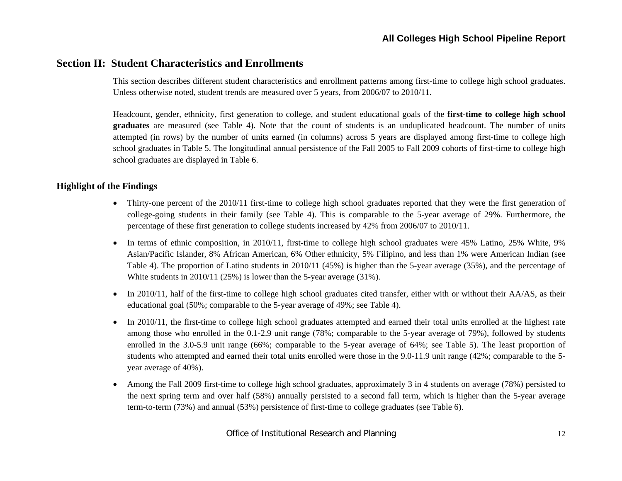## **Section II: Student Characteristics and Enrollments**

This section describes different student characteristics and enrollment patterns among first-time to college high school graduates. Unless otherwise noted, student trends are measured over 5 years, from 2006/07 to 2010/11.

Headcount, gender, ethnicity, first generation to college, and student educational goals of the **first-time to college high school graduates** are measured (see Table 4). Note that the count of students is an unduplicated headcount. The number of units attempted (in rows) by the number of units earned (in columns) across 5 years are displayed among first-time to college high school graduates in Table 5. The longitudinal annual persistence of the Fall 2005 to Fall 2009 cohorts of first-time to college high school graduates are displayed in Table 6.

#### **Highlight of the Findings**

- Thirty-one percent of the 2010/11 first-time to college high school graduates reported that they were the first generation of college-going students in their family (see Table 4). This is comparable to the 5-year average of 29%. Furthermore, the percentage of these first generation to college students increased by 42% from 2006/07 to 2010/11.
- In terms of ethnic composition, in 2010/11, first-time to college high school graduates were 45% Latino, 25% White, 9% Asian/Pacific Islander, 8% African American, 6% Other ethnicity, 5% Filipino, and less than 1% were American Indian (see Table 4). The proportion of Latino students in 2010/11 (45%) is higher than the 5-year average (35%), and the percentage of White students in 2010/11 (25%) is lower than the 5-year average  $(31\%)$ .
- In 2010/11, half of the first-time to college high school graduates cited transfer, either with or without their AA/AS, as their educational goal (50%; comparable to the 5-year average of 49%; see Table 4).
- 0 In 2010/11, the first-time to college high school graduates attempted and earned their total units enrolled at the highest rate among those who enrolled in the 0.1-2.9 unit range (78%; comparable to the 5-year average of 79%), followed by students enrolled in the 3.0-5.9 unit range (66%; comparable to the 5-year average of 64%; see Table 5). The least proportion of students who attempted and earned their total units enrolled were those in the 9.0-11.9 unit range (42%; comparable to the 5 year average of 40%).
- 0 Among the Fall 2009 first-time to college high school graduates, approximately 3 in 4 students on average (78%) persisted to the next spring term and over half (58%) annually persisted to a second fall term, which is higher than the 5-year average term-to-term (73%) and annual (53%) persistence of first-time to college graduates (see Table 6).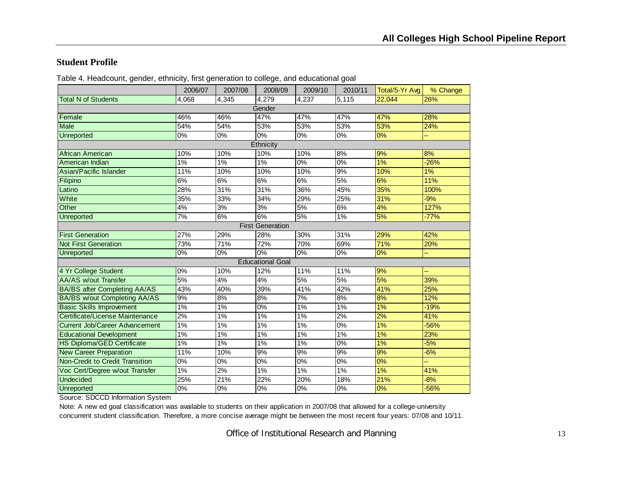#### **Student Profile**

|                                       | 2006/07          | 2007/08 | 2008/09                 | 2009/10          | 2010/11         | Total/5-Yr Avg   | % Change |
|---------------------------------------|------------------|---------|-------------------------|------------------|-----------------|------------------|----------|
| <b>Total N of Students</b>            | 4,068            | 4,345   | 4,279                   | 4,237            | 5,115           | 22,044           | 26%      |
|                                       |                  |         | Gender                  |                  |                 |                  |          |
| Female                                | 46%              | 46%     | 47%                     | 47%              | 47%             | 47%              | 28%      |
| <b>Male</b>                           | 54%              | 54%     | 53%                     | 53%              | 53%             | 53%              | 24%      |
| <b>Unreported</b>                     | $\overline{0\%}$ | 0%      | 0%                      | $\overline{0\%}$ | 0%              | 0%               | u,       |
|                                       |                  |         | Ethnicity               |                  |                 |                  |          |
| African American                      | 10%              | 10%     | 10%                     | 10%              | $\frac{8}{6}$   | 9%               | 8%       |
| American Indian                       | $1\%$            | $1\%$   | $1\%$                   | $\overline{0\%}$ | $0\%$           | 1%               | $-26%$   |
| Asian/Pacific Islander                | 11%              | 10%     | 10%                     | 10%              | 9%              | 10%              | 1%       |
| Filipino                              | 6%               | 6%      | 6%                      | 6%               | 5%              | 6%               | 11%      |
| Latino                                | 28%              | 31%     | 31%                     | 36%              | 45%             | 35%              | 100%     |
| White                                 | 35%              | 33%     | 34%                     | 29%              | 25%             | 31%              | $-9%$    |
| Other                                 | 4%               | 3%      | 3%                      | 5%               | 6%              | 4%               | 127%     |
| <b>Unreported</b>                     | $\overline{7\%}$ | 6%      | 6%                      | 5%               | 1%              | $\overline{5\%}$ | $-77%$   |
|                                       |                  |         | <b>First Generation</b> |                  |                 |                  |          |
| <b>First Generation</b>               | 27%              | 29%     | 28%                     | 30%              | 31%             | 29%              | 42%      |
| <b>Not First Generation</b>           | 73%              | 71%     | 72%                     | 70%              | 69%             | 71%              | 20%      |
| Unreported                            | 0%               | $0\%$   | 0%                      | $0\%$            | $0\%$           | 0%               | ц,       |
|                                       |                  |         | <b>Educational Goal</b> |                  |                 |                  |          |
| 4 Yr College Student                  | 0%               | 10%     | 12%                     | 11%              | 11%             | 9%               |          |
| <b>AA/AS w/out Transfer</b>           | 5%               | 4%      | 4%                      | 5%               | 5%              | 5%               | 39%      |
| <b>BA/BS after Completing AA/AS</b>   | 43%              | 40%     | 39%                     | 41%              | 42%             | 41%              | 25%      |
| <b>BA/BS w/out Completing AA/AS</b>   | 9%               | 8%      | 8%                      | 7%               | 8%              | 8%               | 12%      |
| <b>Basic Skills Improvement</b>       | $1\%$            | $1\%$   | $\overline{0\%}$        | $1\%$            | $1\%$           | 1%               | $-19%$   |
| Certificate/License Maintenance       | 2%               | 1%      | 1%                      | 1%               | 2%              | 2%               | 41%      |
| <b>Current Job/Career Advancement</b> | $1\%$            | $1\%$   | $1\%$                   | $1\%$            | 0%              | 1%               | -56%     |
| <b>Educational Development</b>        | $1\%$            | 1%      | 1%                      | $1\%$            | 1%              | 1%               | 23%      |
| <b>HS Diploma/GED Certificate</b>     | 1%               | 1%      | 1%                      | 1%               | 0%              | 1%               | $-5%$    |
| <b>New Career Preparation</b>         | 11%              | 10%     | 9%                      | 9%               | 9%              | 9%               | $-6%$    |
| Non-Credit to Credit Transition       | 0%               | 0%      | 0%                      | 0%               | 0%              | 0%               |          |
| Voc Cert/Degree w/out Transfer        | $1\%$            | 2%      | $1\%$                   | 1%               | 1%              | 1%               | 41%      |
| <b>Undecided</b>                      | 25%              | 21%     | 22%                     | 20%              | 18%             | 21%              | $-8%$    |
| <b>Unreported</b>                     | 0%               | 0%      | 0%                      | 0%               | $\overline{\%}$ | 0%               | $-56%$   |

Table 4. Headcount, gender, ethnicity, first generation to college, and educational goal

Source: SDCCD Information System

Note: A new ed goal classification was available to students on their application in 2007/08 that allowed for a college-university concurrent student classification. Therefore, a more concise average might be between the most recent four years: 07/08 and 10/11.

Office of Institutional Research and Planning 13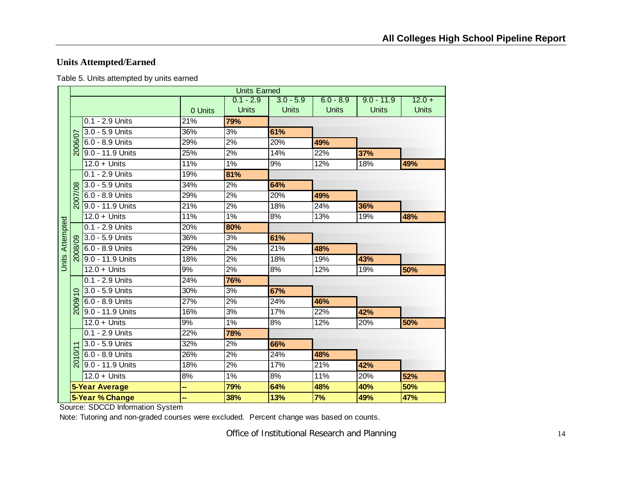## **Units Attempted/Earned**

Table 5. Units attempted by units earned

|                        |                |                       |                   | <b>Units Earned</b> |              |              |              |              |
|------------------------|----------------|-----------------------|-------------------|---------------------|--------------|--------------|--------------|--------------|
|                        |                |                       |                   | $0.1 - 2.9$         | $3.0 - 5.9$  | $6.0 - 8.9$  | $9.0 - 11.9$ | $12.0 +$     |
|                        |                |                       | 0 Units           | <b>Units</b>        | <b>Units</b> | <b>Units</b> | <b>Units</b> | <b>Units</b> |
|                        |                | 0.1 - 2.9 Units       | 21%               | 79%                 |              |              |              |              |
|                        |                | 3.0 - 5.9 Units       | 36%               | 3%                  | 61%          |              |              |              |
|                        | 2006/07        | 6.0 - 8.9 Units       | 29%               | 2%                  | 20%          | 49%          |              |              |
|                        |                | 9.0 - 11.9 Units      | 25%               | 2%                  | 14%          | 22%          | 37%          |              |
|                        |                | $12.0 +$ Units        | 11%               | 1%                  | 9%           | 12%          | 18%          | 49%          |
|                        |                | $0.1 - 2.9$ Units     | 19%               | 81%                 |              |              |              |              |
|                        |                | 3.0 - 5.9 Units       | 34%               | 2%                  | 64%          |              |              |              |
|                        | 2007/08        | 6.0 - 8.9 Units       | 29%               | 2%                  | 20%          | 49%          |              |              |
|                        |                | 9.0 - 11.9 Units      | 21%               | 2%                  | 18%          | 24%          | 36%          |              |
|                        |                | $12.0 +$ Units        | 11%               | $1\%$               | 8%           | 13%          | 19%          | 48%          |
|                        |                | 0.1 - 2.9 Units       | 20%               | 80%                 |              |              |              |              |
|                        |                | 3.0 - 5.9 Units       | 36%               | 3%                  | 61%          |              |              |              |
|                        | ଛ              | 6.0 - 8.9 Units       | 29%               | 2%                  | 21%          | 48%          |              |              |
| <b>Units Attempted</b> |                | 9.0 - 11.9 Units      | $\overline{18\%}$ | 2%                  | 18%          | 19%          | 43%          |              |
|                        |                | $12.0 +$ Units        | 9%                | 2%                  | 8%           | 12%          | 19%          | 50%          |
|                        |                | $0.1 - 2.9$ Units     | 24%               | 76%                 |              |              |              |              |
|                        | $\circ$        | 3.0 - 5.9 Units       | 30%               | 3%                  | 67%          |              |              |              |
|                        | 2009/          | 6.0 - 8.9 Units       | 27%               | 2%                  | 24%          | 46%          |              |              |
|                        |                | 9.0 - 11.9 Units      | 16%               | 3%                  | 17%          | 22%          | 42%          |              |
|                        |                | $12.0 +$ Units        | 9%                | $1\%$               | 8%           | 12%          | 20%          | 50%          |
|                        |                | 0.1 - 2.9 Units       | 22%               | 78%                 |              |              |              |              |
|                        |                | 3.0 - 5.9 Units       | $\overline{3}2\%$ | $\sqrt{2\%}$        | 66%          |              |              |              |
|                        | $\delta$       | 6.0 - 8.9 Units       | 26%               | 2%                  | 24%          | 48%          |              |              |
|                        | $\overline{5}$ | 9.0 - 11.9 Units      | 18%               | $\overline{2\%}$    | 17%          | 21%          | 42%          |              |
|                        |                | $12.0 +$ Units        | 8%                | 1%                  | 8%           | 11%          | 20%          | 52%          |
|                        |                | <b>5-Year Average</b> | ۰.                | 79%                 | 64%          | 48%          | 40%          | 50%          |
|                        |                | 5-Year % Change       | --                | 38%                 | 13%          | 7%           | 49%          | 47%          |

Source: SDCCD Information System

Note: Tutoring and non-graded courses were excluded. Percent change was based on counts.

Office of Institutional Research and Planning 14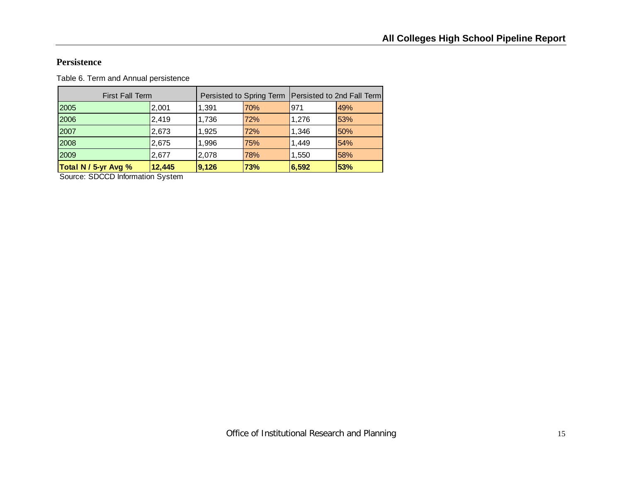#### **Persistence**

Table 6. Term and Annual persistence

| Total N / 5-yr Avg %   | 12,445 | 9,126 | 73% | 6,592                                                 | 53% |
|------------------------|--------|-------|-----|-------------------------------------------------------|-----|
| 2009                   | 2.677  | 2,078 | 78% | 1,550                                                 | 58% |
| 2008                   | 2,675  | 1,996 | 75% | 1,449                                                 | 54% |
| 2007                   | 2,673  | 1,925 | 72% | 1,346                                                 | 50% |
| 2006                   | 2,419  | 1,736 | 72% | 1,276                                                 | 53% |
| 2005                   | 2,001  | 1,391 | 70% | 971                                                   | 49% |
| <b>First Fall Term</b> |        |       |     | Persisted to Spring Term   Persisted to 2nd Fall Term |     |

Source: SDCCD Information System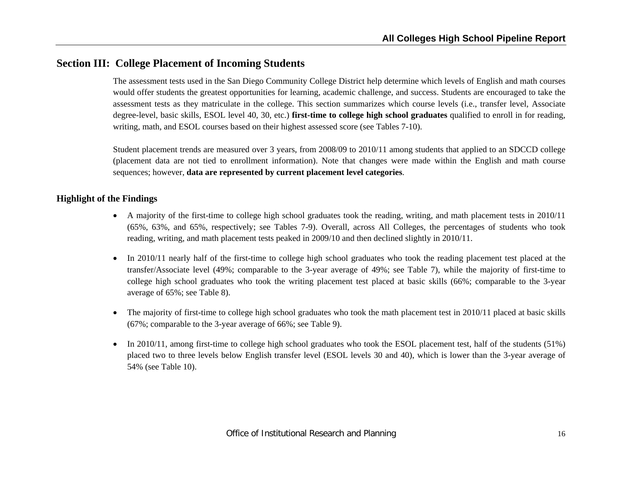## **Section III: College Placement of Incoming Students**

The assessment tests used in the San Diego Community College District help determine which levels of English and math courses would offer students the greatest opportunities for learning, academic challenge, and success. Students are encouraged to take the assessment tests as they matriculate in the college. This section summarizes which course levels (i.e., transfer level, Associate degree-level, basic skills, ESOL level 40, 30, etc.) **first-time to college high school graduates** qualified to enroll in for reading, writing, math, and ESOL courses based on their highest assessed score (see Tables 7-10).

Student placement trends are measured over 3 years, from 2008/09 to 2010/11 among students that applied to an SDCCD college (placement data are not tied to enrollment information). Note that changes were made within the English and math course sequences; however, **data are represented by current placement level categories**.

#### **Highlight of the Findings**

- A majority of the first-time to college high school graduates took the reading, writing, and math placement tests in 2010/11 (65%, 63%, and 65%, respectively; see Tables 7-9). Overall, across All Colleges, the percentages of students who took reading, writing, and math placement tests peaked in 2009/10 and then declined slightly in 2010/11.
- $\bullet$  In 2010/11 nearly half of the first-time to college high school graduates who took the reading placement test placed at the transfer/Associate level (49%; comparable to the 3-year average of 49%; see Table 7), while the majority of first-time to college high school graduates who took the writing placement test placed at basic skills (66%; comparable to the 3-year average of 65%; see Table 8).
- $\bullet$  The majority of first-time to college high school graduates who took the math placement test in 2010/11 placed at basic skills (67%; comparable to the 3-year average of 66%; see Table 9).
- $\bullet$  In 2010/11, among first-time to college high school graduates who took the ESOL placement test, half of the students (51%) placed two to three levels below English transfer level (ESOL levels 30 and 40), which is lower than the 3-year average of 54% (see Table 10).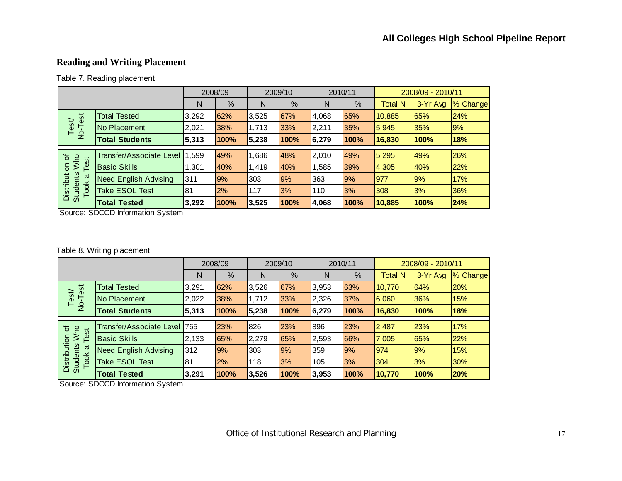## **Reading and Writing Placement**

#### Table 7. Reading placement

|                                         |                                 |       | 2008/09 |       | 2009/10 |       | 2010/11 |                | 2008/09 - 2010/11 |          |
|-----------------------------------------|---------------------------------|-------|---------|-------|---------|-------|---------|----------------|-------------------|----------|
|                                         |                                 | N     | %       | N     | %       | N     | %       | <b>Total N</b> | 3-Yr Avg          | % Change |
|                                         | <b>Total Tested</b>             | 3,292 | 62%     | 3,525 | 67%     | 4,068 | 65%     | 10,885         | 65%               | 24%      |
| No-Test<br>Test/                        | No Placement                    | 2,021 | 38%     | 1,713 | 33%     | 2,211 | 35%     | 5,945          | 35%               | 9%       |
|                                         | <b>Total Students</b>           | 5,313 | 100%    | 5,238 | 100%    | 6,279 | 100%    | 16,830         | 100%              | 18%      |
|                                         |                                 |       |         |       |         |       |         |                |                   |          |
| ৳<br>Who<br>est                         | <b>Transfer/Associate Level</b> | .599  | 49%     | 1,686 | 48%     | 2,010 | 49%     | 5,295          | 49%               | 26%      |
|                                         | <b>Basic Skills</b>             | 1,301 | 40%     | 1,419 | 40%     | 1,585 | 39%     | 4,305          | 40%               | 22%      |
| σ                                       | <b>Need English Advising</b>    | 311   | 9%      | 303   | 9%      | 363   | 9%      | 977            | 9%                | 17%      |
| Distribution<br><b>Students</b><br>Took | <b>Take ESOL Test</b>           | 81    | 2%      | 117   | 3%      | 110   | 3%      | 308            | 3%                | 36%      |
|                                         | <b>Total Tested</b>             | 3,292 | 100%    | 3,525 | 100%    | 4,068 | 100%    | 10,885         | 100%              | 24%      |

Source: SDCCD Information System

#### Table 8. Writing placement

|                                         |                                 |       | 2008/09 |       | 2009/10 | 2010/11 |      |                | 2008/09 - 2010/11 |          |
|-----------------------------------------|---------------------------------|-------|---------|-------|---------|---------|------|----------------|-------------------|----------|
|                                         |                                 | N     | %       | N     | %       | N       | %    | <b>Total N</b> | 3-Yr Avg          | % Change |
|                                         | <b>Total Tested</b>             | 3,291 | 62%     | 3,526 | 67%     | 3,953   | 63%  | 10,770         | 64%               | 20%      |
| No-Test<br>Test/                        | No Placement                    | 2,022 | 38%     | 1,712 | 33%     | 2,326   | 37%  | 6,060          | 36%               | 15%      |
|                                         | <b>Total Students</b>           | 5,313 | 100%    | 5,238 | 100%    | 6,279   | 100% | 16,830         | 100%              | 18%      |
| $\overline{\sigma}$                     | <b>Transfer/Associate Level</b> | 765   | 23%     | 826   | 23%     | 896     | 23%  | 2,487          | 23%               | 17%      |
| <b>MW</b><br>Test                       | <b>Basic Skills</b>             | 2,133 | 65%     | 2,279 | 65%     | 2,593   | 66%  | 7,005          | 65%               | 22%      |
| σ                                       | <b>Need English Advising</b>    | 312   | 9%      | 303   | 9%      | 359     | 9%   | 974            | 9%                | 15%      |
| Distribution<br><b>Students</b><br>Took | <b>Take ESOL Test</b>           | 81    | 2%      | 118   | 3%      | 105     | 3%   | 304            | 3%                | 30%      |
|                                         | <b>Total Tested</b>             | 3,291 | 100%    | 3,526 | 100%    | 3,953   | 100% | 10,770         | 100%              | 20%      |

Source: SDCCD Information System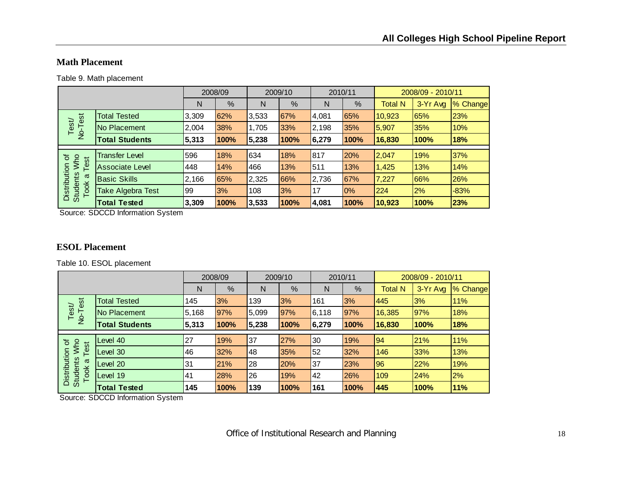#### **Math Placement**

Table 9. Math placement

|                                         |                        |       | 2008/09 |       | 2009/10 |       | 2010/11 |                | 2008/09 - 2010/11 |          |
|-----------------------------------------|------------------------|-------|---------|-------|---------|-------|---------|----------------|-------------------|----------|
|                                         |                        | N     | %       | N     | %       | N     | %       | <b>Total N</b> | 3-Yr Avg          | % Change |
| est                                     | <b>Total Tested</b>    | 3,309 | 62%     | 3,533 | 67%     | 4,081 | 65%     | 10,923         | 65%               | 23%      |
| Test/<br>No-T                           | No Placement           | 2,004 | 38%     | 1,705 | 33%     | 2,198 | 35%     | 15,907         | 35%               | 10%      |
|                                         | <b>Total Students</b>  | 5,313 | 100%    | 5,238 | 100%    | 6,279 | 100%    | 16,830         | 100%              | 18%      |
|                                         |                        |       |         |       |         |       |         |                |                   |          |
| <b>MW</b><br>৳<br>est                   | <b>Transfer Level</b>  | 596   | 18%     | 634   | 18%     | 817   | 20%     | 2,047          | 19%               | 37%      |
| ⊢                                       | <b>Associate Level</b> | 448   | 14%     | 466   | 13%     | 511   | 13%     | 1,425          | 13%               | 14%      |
| σ                                       | <b>Basic Skills</b>    | 2,166 | 65%     | 2,325 | 66%     | 2,736 | 67%     | 7,227          | 66%               | 26%      |
| Distribution<br><b>Students</b><br>Took | Take Algebra Test      | 99    | 3%      | 108   | 3%      | 17    | 0%      | 224            | 2%                | $-83%$   |
|                                         | <b>Total Tested</b>    | 3,309 | 100%    | 3,533 | 100%    | 4,081 | 100%    | 10,923         | 100%              | 23%      |

Source: SDCCD Information System

#### **ESOL Placement**

Table 10. ESOL placement

|                                         |                       |       | 2008/09 |       | 2009/10    |       | 2010/11 |                | 2008/09 - 2010/11 |          |
|-----------------------------------------|-----------------------|-------|---------|-------|------------|-------|---------|----------------|-------------------|----------|
|                                         |                       | N     | %       | N     | %          | N     | %       | <b>Total N</b> | 3-Yr Avg          | % Change |
|                                         | <b>Total Tested</b>   | 145   | 3%      | 139   | 3%         | 161   | 3%      | 445            | 3%                | 11%      |
| No-Test<br>Test/                        | No Placement          | 5,168 | 97%     | 5,099 | 97%        | 6,118 | 97%     | 16,385         | 97%               | 18%      |
|                                         | <b>Total Students</b> | 5,313 | 100%    | 5,238 | 100%       | 6,279 | 100%    | 16,830         | 100%              | 18%      |
|                                         |                       |       |         |       |            |       |         |                |                   |          |
| Who<br>৳                                | Level 40              | 27    | 19%     | 37    | 27%        | 30    | 19%     | 94             | 21%               | 11%      |
| Test                                    | Level 30              | 46    | 32%     | 48    | 35%        | 52    | 32%     | 146            | 33%               | 13%      |
| ω                                       | Level 20              | 31    | 21%     | 28    | <b>20%</b> | 37    | 23%     | 96             | 22%               | 19%      |
| Distribution<br><b>Students</b><br>Took | Level 19              | 41    | 28%     | 26    | 19%        | 42    | 26%     | 109            | 24%               | 2%       |
|                                         | <b>Total Tested</b>   | 145   | 100%    | 139   | 100%       | 161   | 100%    | 445            | 100%              | 11%      |

Source: SDCCD Information System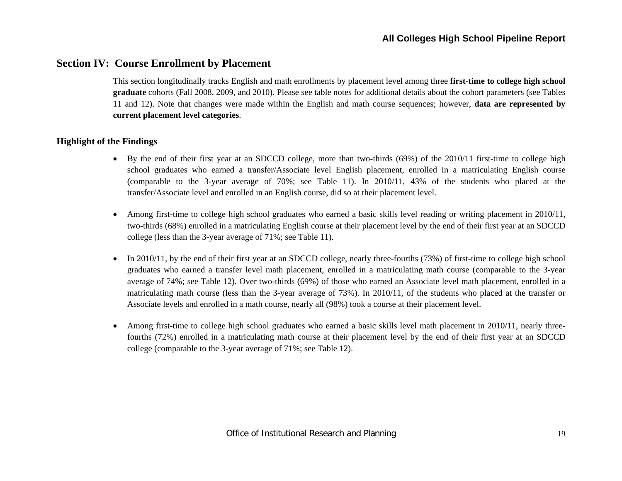## **Section IV: Course Enrollment by Placement**

This section longitudinally tracks English and math enrollments by placement level among three **first-time to college high school graduate** cohorts (Fall 2008, 2009, and 2010). Please see table notes for additional details about the cohort parameters (see Tables 11 and 12). Note that changes were made within the English and math course sequences; however, **data are represented by current placement level categories**.

#### **Highlight of the Findings**

- By the end of their first year at an SDCCD college, more than two-thirds (69%) of the 2010/11 first-time to college high school graduates who earned a transfer/Associate level English placement, enrolled in a matriculating English course (comparable to the 3-year average of 70%; see Table 11). In 2010/11, 43% of the students who placed at the transfer/Associate level and enrolled in an English course, did so at their placement level.
- 0 Among first-time to college high school graduates who earned a basic skills level reading or writing placement in 2010/11, two-thirds (68%) enrolled in a matriculating English course at their placement level by the end of their first year at an SDCCD college (less than the 3-year average of 71%; see Table 11).
- $\bullet$  In 2010/11, by the end of their first year at an SDCCD college, nearly three-fourths (73%) of first-time to college high school graduates who earned a transfer level math placement, enrolled in a matriculating math course (comparable to the 3-year average of 74%; see Table 12). Over two-thirds (69%) of those who earned an Associate level math placement, enrolled in a matriculating math course (less than the 3-year average of 73%). In 2010/11, of the students who placed at the transfer or Associate levels and enrolled in a math course, nearly all (98%) took a course at their placement level.
- 0 Among first-time to college high school graduates who earned a basic skills level math placement in 2010/11, nearly threefourths (72%) enrolled in a matriculating math course at their placement level by the end of their first year at an SDCCD college (comparable to the 3-year average of 71%; see Table 12).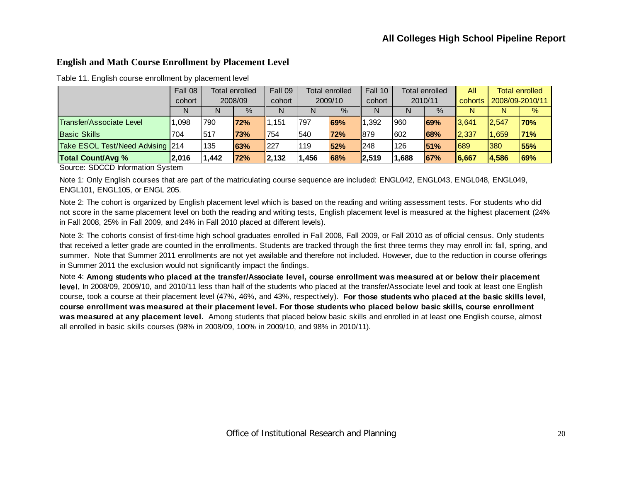#### **English and Math Course Enrollment by Placement Level**

|                                  | Fall 08 | <b>Total enrolled</b><br>2008/09 |            | Fall 09     | <b>Total enrolled</b> |      | Fall 10         | <b>Total enrolled</b> |      | All          | <b>Total enrolled</b> |               |
|----------------------------------|---------|----------------------------------|------------|-------------|-----------------------|------|-----------------|-----------------------|------|--------------|-----------------------|---------------|
|                                  | cohort  |                                  |            | cohort      | 2009/10               |      | cohort          | 2010/11               |      | cohorts      | 2008/09-2010/11       |               |
|                                  | N       | N                                | $\%$       | N           | N                     | $\%$ | N               | N                     | $\%$ | N            | N                     | $\frac{9}{6}$ |
| Transfer/Associate Level         | .098    | 1790                             | <b>72%</b> | 1,151       | 797                   | 69%  | ,392            | 1960                  | 69%  | 3,641        | 12.547                | <b>70%</b>    |
| <b>Basic Skills</b>              | 704     | 517                              | 73%        | <b>1754</b> | 540                   | 72%  | 879             | 1602                  | 68%  | <b>2.337</b> | 1.659                 | 71%           |
| Take ESOL Test/Need Advising 214 |         | 135                              | <b>63%</b> | $\vert$ 227 | 119                   | 52%  | $\parallel$ 248 | 126                   | 51%  | 689          | 1380                  | <b>55%</b>    |
| <b>Total Count/Avg %</b>         | '2,016  | 1,442                            | 72%        | 2,132       | ,456                  | 68%  | $\vert$ 2,519   | 1,688                 | 67%  | $\ 6,667$    | 4,586                 | 69%           |

Table 11. English course enrollment by placement level

Source: SDCCD Information System

Note 1: Only English courses that are part of the matriculating course sequence are included: ENGL042, ENGL043, ENGL048, ENGL049, ENGL101, ENGL105, or ENGL 205.

Note 2: The cohort is organized by English placement level which is based on the reading and writing assessment tests. For students who did not score in the same placement level on both the reading and writing tests, English placement level is measured at the highest placement (24% in Fall 2008, 25% in Fall 2009, and 24% in Fall 2010 placed at different levels).

Note 3: The cohorts consist of first-time high school graduates enrolled in Fall 2008, Fall 2009, or Fall 2010 as of official census. Only students that received a letter grade are counted in the enrollments. Students are tracked through the first three terms they may enroll in: fall, spring, and summer. Note that Summer 2011 enrollments are not yet available and therefore not included. However, due to the reduction in course offerings in Summer 2011 the exclusion would not significantly impact the findings.

Note 4: **Among students who placed at the transfer/Associate level, course enrollment was measured at or below their placement level.** In 2008/09, 2009/10, and 2010/11 less than half of the students who placed at the transfer/Associate level and took at least one English course, took a course at their placement level (47%, 46%, and 43%, respectively). **For those students who placed at the basic skills level, course enrollment was measured at their placement level. For those students who placed below basic skills, course enrollment was measured at any placement level.** Among students that placed below basic skills and enrolled in at least one English course, almost all enrolled in basic skills courses (98% in 2008/09, 100% in 2009/10, and 98% in 2010/11).